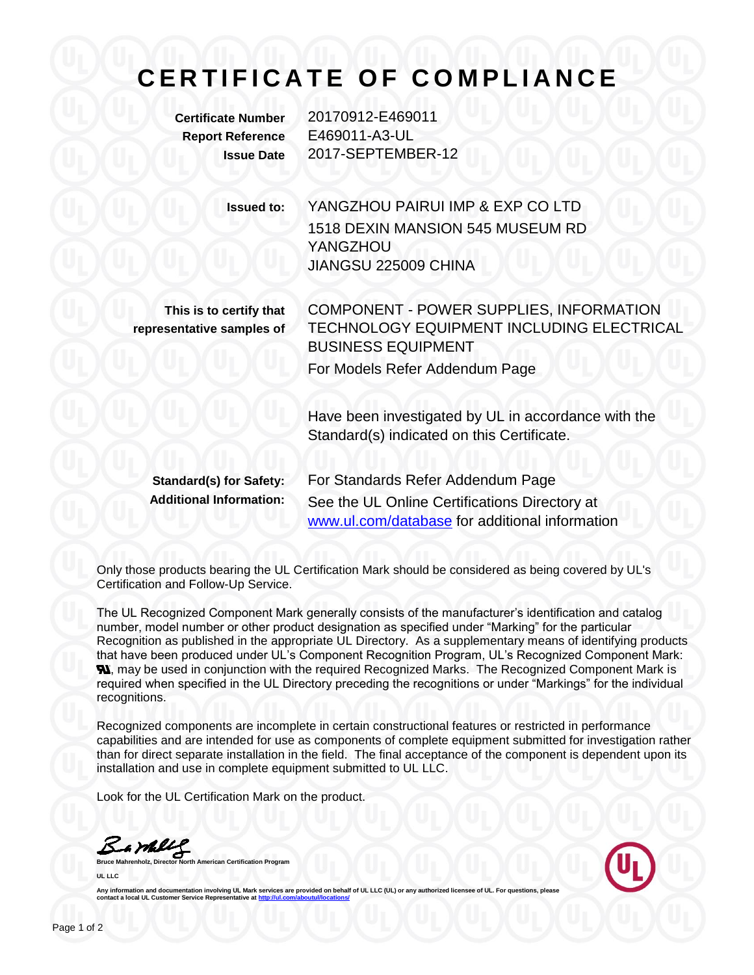## **C E R T I F I C A T E O F C O M P L I A N C E**

**Certificate Number** 20170912-E469011 **Report Reference** E469011-A3-UL **Issue Date** 2017-SEPTEMBER-12

> **Issued to:** YANGZHOU PAIRUI IMP & EXP CO LTD 1518 DEXIN MANSION 545 MUSEUM RD YANGZHOU JIANGSU 225009 CHINA

**This is to certify that representative samples of** COMPONENT - POWER SUPPLIES, INFORMATION TECHNOLOGY EQUIPMENT INCLUDING ELECTRICAL BUSINESS EQUIPMENT For Models Refer Addendum Page

Have been investigated by UL in accordance with the Standard(s) indicated on this Certificate.

**Standard(s) for Safety:** For Standards Refer Addendum Page **Additional Information:** See the UL Online Certifications Directory at [www.ul.com/database](http://www.ul.com/database) for additional information

Only those products bearing the UL Certification Mark should be considered as being covered by UL's Certification and Follow-Up Service.

The UL Recognized Component Mark generally consists of the manufacturer's identification and catalog number, model number or other product designation as specified under "Marking" for the particular Recognition as published in the appropriate UL Directory. As a supplementary means of identifying products that have been produced under UL's Component Recognition Program, UL's Recognized Component Mark: **N.** may be used in conjunction with the required Recognized Marks. The Recognized Component Mark is required when specified in the UL Directory preceding the recognitions or under "Markings" for the individual recognitions.

Recognized components are incomplete in certain constructional features or restricted in performance capabilities and are intended for use as components of complete equipment submitted for investigation rather than for direct separate installation in the field. The final acceptance of the component is dependent upon its installation and use in complete equipment submitted to UL LLC.

Look for the UL Certification Mark on the product.

**Bruce Mahrenholz, Director North American Certification Program** 

**UL LLC**



Any information and documentation involving UL Mark services are provided on behalf of UL LLC (UL) or any authorized licensee of UL. For questions, please<br>contact a local UL Customer Service Representative at <u>http://ul.co</u>